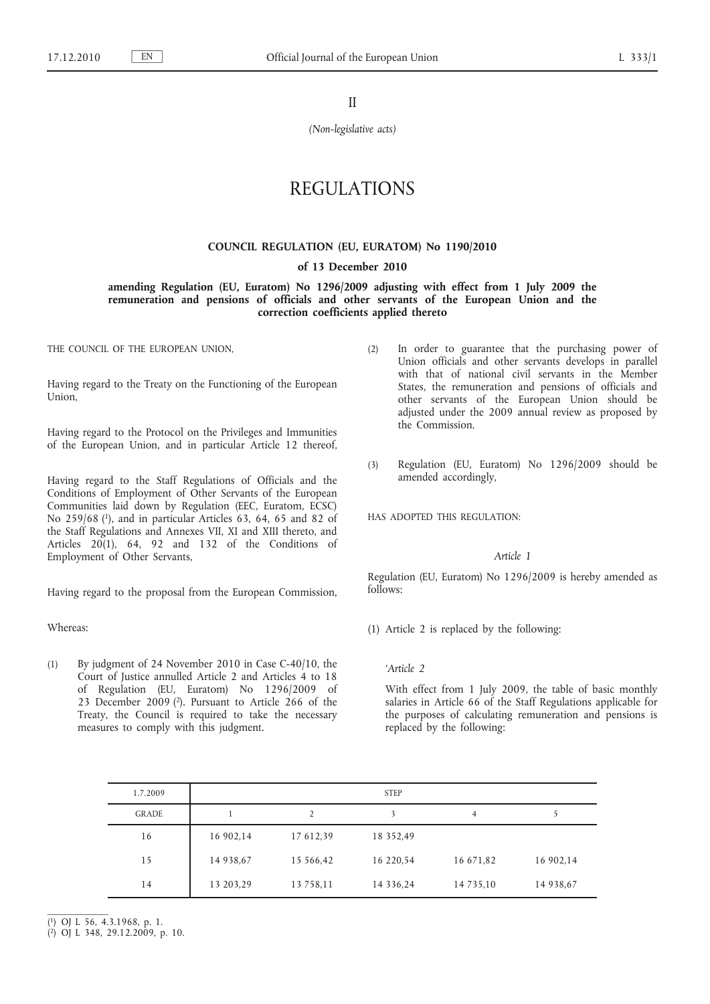II

*(Non-legislative acts)*

# REGULATIONS

### **COUNCIL REGULATION (EU, EURATOM) No 1190/2010**

**of 13 December 2010**

**amending Regulation (EU, Euratom) No 1296/2009 adjusting with effect from 1 July 2009 the remuneration and pensions of officials and other servants of the European Union and the correction coefficients applied thereto**

THE COUNCIL OF THE EUROPEAN UNION,

Having regard to the Treaty on the Functioning of the European Union,

Having regard to the Protocol on the Privileges and Immunities of the European Union, and in particular Article 12 thereof,

Having regard to the Staff Regulations of Officials and the Conditions of Employment of Other Servants of the European Communities laid down by Regulation (EEC, Euratom, ECSC) No 259/68 (1), and in particular Articles 63, 64, 65 and 82 of the Staff Regulations and Annexes VII, XI and XIII thereto, and Articles 20(1), 64, 92 and 132 of the Conditions of Employment of Other Servants,

Having regard to the proposal from the European Commission,

Whereas:

(1) By judgment of 24 November 2010 in Case C-40/10, the Court of Justice annulled Article 2 and Articles 4 to 18 of Regulation (EU, Euratom) No 1296/2009 of 23 December 2009 (2). Pursuant to Article 266 of the Treaty, the Council is required to take the necessary measures to comply with this judgment.

- (2) In order to guarantee that the purchasing power of Union officials and other servants develops in parallel with that of national civil servants in the Member States, the remuneration and pensions of officials and other servants of the European Union should be adjusted under the 2009 annual review as proposed by the Commission.
- (3) Regulation (EU, Euratom) No 1296/2009 should be amended accordingly,

HAS ADOPTED THIS REGULATION:

### *Article 1*

Regulation (EU, Euratom) No 1296/2009 is hereby amended as follows:

(1) Article 2 is replaced by the following:

#### *'Article 2*

With effect from 1 July 2009, the table of basic monthly salaries in Article 66 of the Staff Regulations applicable for the purposes of calculating remuneration and pensions is replaced by the following:

| 1.7.2009 |           |           | <b>STEP</b>    |               |           |
|----------|-----------|-----------|----------------|---------------|-----------|
| GRADE    |           | 2         | 3              | 4             | 5         |
| 16       | 16 902,14 | 17 612,39 | 18 352,49      |               |           |
| 15       | 14 938,67 | 15 566,42 | 16 220,54      | 16 671,82     | 16 902,14 |
| 14       | 13 203,29 | 13 758,11 | 14 3 3 6 , 2 4 | 14 7 3 5 , 10 | 14 938,67 |

( 1) OJ L 56, 4.3.1968, p. 1.

<sup>(</sup> 2) OJ L 348, 29.12.2009, p. 10.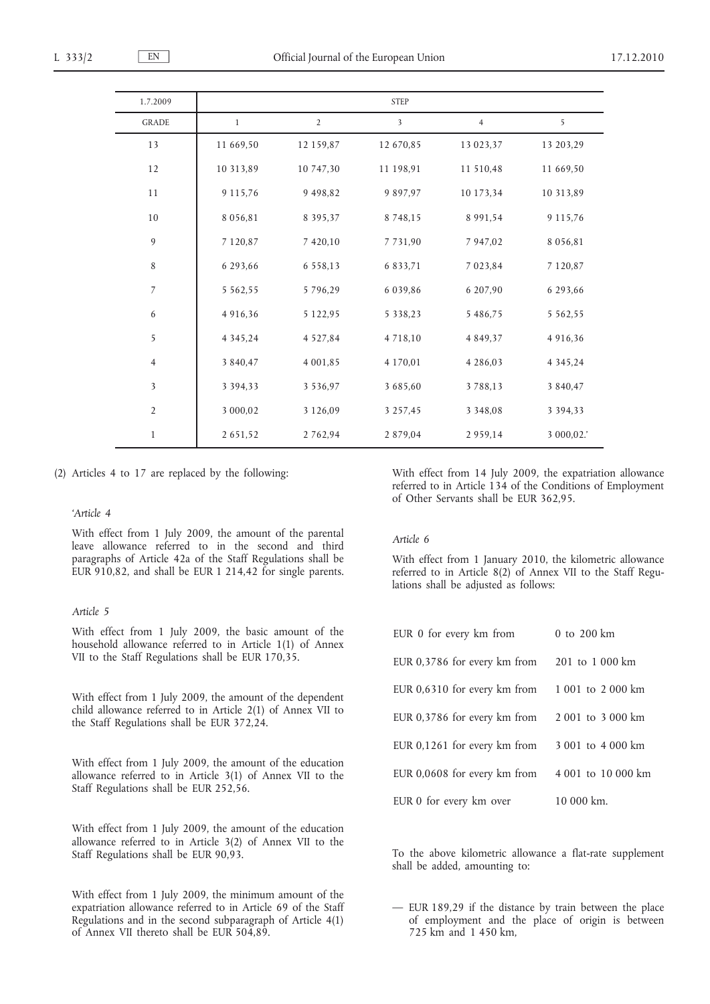| 1.7.2009       |               |                | <b>STEP</b>             |                |               |
|----------------|---------------|----------------|-------------------------|----------------|---------------|
| <b>GRADE</b>   | 1             | $\overline{2}$ | $\overline{\mathbf{3}}$ | $\overline{4}$ | 5             |
| 13             | 11 669,50     | 12 159,87      | 12 670,85               | 13 023,37      | 13 203,29     |
| 12             | 10 313,89     | 10 747,30      | 11 198,91               | 11 510,48      | 11 669,50     |
| 11             | 9 1 1 5 . 7 6 | 9 4 9 8, 8 2   | 9 8 9 7 . 9 7           | 10 173,34      | 10 313,89     |
| 10             | 8 0 5 6, 8 1  | 8 3 9 5 , 3 7  | 8 7 4 8 , 1 5           | 8 9 9 1 , 5 4  | 9 1 1 5 .76   |
| $\overline{9}$ | 7 1 2 0, 8 7  | 7 420,10       | 7731,90                 | 7 947,02       | 8 0 5 6, 8 1  |
| 8              | 6 293,66      | 6 5 5 8 , 1 3  | 6 8 3 3 , 7 1           | 7 0 2 3 , 8 4  | 7 1 2 0, 8 7  |
| $\overline{7}$ | 5 5 6 2 , 5 5 | 5796,29        | 6 0 3 9, 8 6            | 6 207,90       | 6 293,66      |
| 6              | 4 9 1 6, 3 6  | 5 1 2 2 , 9 5  | 5 3 3 8 , 2 3           | 5 486,75       | 5 5 6 2 , 5 5 |
| 5              | 4 3 4 5 , 2 4 | 4 5 2 7 , 8 4  | 4 7 1 8 , 1 0           | 4 8 4 9 , 3 7  | 4 9 1 6, 3 6  |
| $\overline{4}$ | 3 840,47      | 4 001,85       | 4 170,01                | 4 2 8 6 , 0 3  | 4 3 4 5 , 2 4 |
| 3              | 3 3 9 4 3 3   | 3 5 3 6, 9 7   | 3 685,60                | 3788,13        | 3 840,47      |
| $\overline{2}$ | 3 000,02      | 3 1 2 6 , 0 9  | 3 2 5 7 , 4 5           | 3 3 4 8 , 0 8  | 3 3 9 4 3 3   |
| $\mathbf{1}$   | 2 651,52      | 2 7 6 2 , 9 4  | 2 879,04                | 2959,14        | 3 000,02.     |

(2) Articles 4 to 17 are replaced by the following:

#### *'Article 4*

With effect from 1 July 2009, the amount of the parental leave allowance referred to in the second and third paragraphs of Article 42a of the Staff Regulations shall be EUR 910,82, and shall be EUR 1 214,42 for single parents.

### *Article 5*

With effect from 1 July 2009, the basic amount of the household allowance referred to in Article 1(1) of Annex VII to the Staff Regulations shall be EUR 170,35.

With effect from 1 July 2009, the amount of the dependent child allowance referred to in Article 2(1) of Annex VII to the Staff Regulations shall be EUR 372,24.

With effect from 1 July 2009, the amount of the education allowance referred to in Article 3(1) of Annex VII to the Staff Regulations shall be EUR 252,56.

With effect from 1 July 2009, the amount of the education allowance referred to in Article 3(2) of Annex VII to the Staff Regulations shall be EUR 90,93.

With effect from 1 July 2009, the minimum amount of the expatriation allowance referred to in Article 69 of the Staff Regulations and in the second subparagraph of Article 4(1) of Annex VII thereto shall be EUR 504,89.

With effect from 14 July 2009, the expatriation allowance referred to in Article 134 of the Conditions of Employment of Other Servants shall be EUR 362,95.

### *Article 6*

With effect from 1 January 2010, the kilometric allowance referred to in Article 8(2) of Annex VII to the Staff Regulations shall be adjusted as follows:

| EUR 0 for every km from                        | 0 to $200 \text{ km}$ |
|------------------------------------------------|-----------------------|
| EUR 0,3786 for every km from 201 to 1 000 km   |                       |
| EUR 0,6310 for every km from 1001 to 2000 km   |                       |
| EUR 0,3786 for every km from $2001$ to 3000 km |                       |
| EUR 0,1261 for every km from                   | 3 001 to 4 000 km     |
| EUR 0,0608 for every km from                   | 4 001 to 10 000 km    |
| EUR 0 for every km over                        | $10000 \text{ km}$ .  |

To the above kilometric allowance a flat-rate supplement shall be added, amounting to:

— EUR 189,29 if the distance by train between the place of employment and the place of origin is between 725 km and 1 450 km,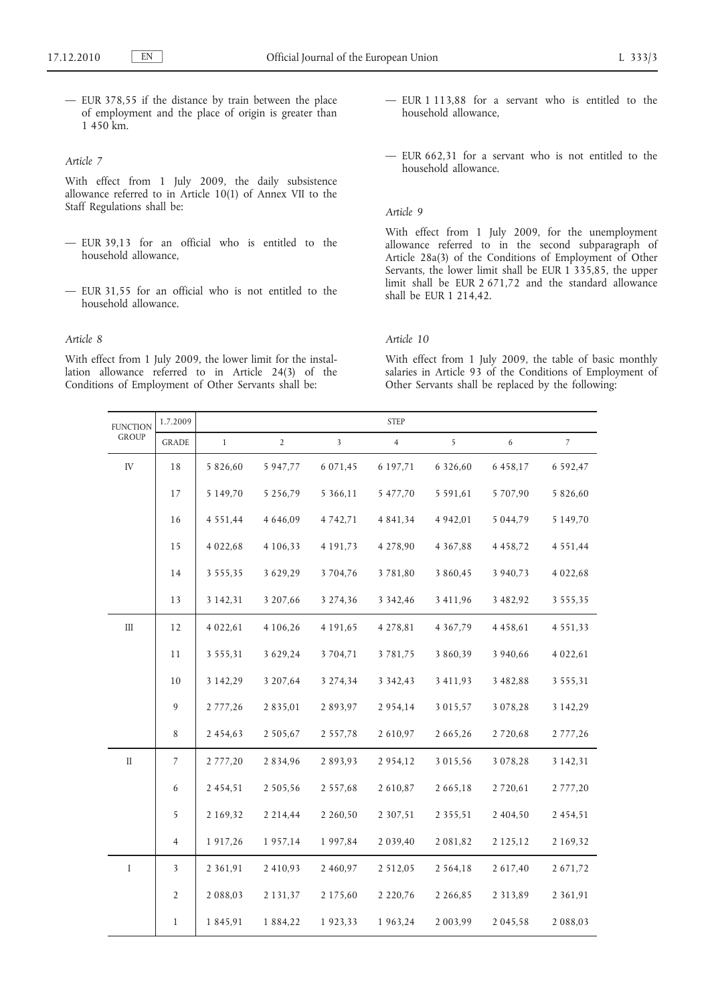— EUR 378,55 if the distance by train between the place of employment and the place of origin is greater than 1 450 km.

## *Article 7*

With effect from 1 July 2009, the daily subsistence allowance referred to in Article 10(1) of Annex VII to the Staff Regulations shall be:

- EUR 39,13 for an official who is entitled to the household allowance,
- EUR 31,55 for an official who is not entitled to the household allowance.

### *Article 8*

With effect from 1 July 2009, the lower limit for the installation allowance referred to in Article 24(3) of the Conditions of Employment of Other Servants shall be:

- EUR 1 113,88 for a servant who is entitled to the household allowance,
- EUR 662,31 for a servant who is not entitled to the household allowance.

### *Article 9*

With effect from 1 July 2009, for the unemployment allowance referred to in the second subparagraph of Article 28a(3) of the Conditions of Employment of Other Servants, the lower limit shall be EUR 1 335,85, the upper limit shall be EUR 2 671,72 and the standard allowance shall be EUR 1 214,42.

# *Article 10*

With effect from 1 July 2009, the table of basic monthly salaries in Article 93 of the Conditions of Employment of Other Servants shall be replaced by the following:

| <b>FUNCTION</b><br>GROUP | 1.7.2009       |               |                |               | <b>STEP</b>    |               |               |               |
|--------------------------|----------------|---------------|----------------|---------------|----------------|---------------|---------------|---------------|
|                          | <b>GRADE</b>   | $\mathbf{1}$  | $\overline{2}$ | 3             | $\overline{4}$ | 5             | 6             | $7^{\circ}$   |
| ${\rm IV}$               | 18             | 5 826,60      | 5 947,77       | 6 0 7 1 , 4 5 | 6 197,71       | 6 326,60      | 6 458,17      | 6 5 9 2, 4 7  |
|                          | 17             | 5 149,70      | 5 2 5 6 , 7 9  | 5 366,11      | 5 477,70       | 5 5 9 1 , 6 1 | 5 707,90      | 5 826,60      |
|                          | 16             | 4 5 5 1 , 4 4 | 4 646,09       | 4 7 4 2 , 7 1 | 4 8 4 1 , 3 4  | 4 9 4 2, 0 1  | 5 0 4 4 , 7 9 | 5 1 4 9 , 7 0 |
|                          | 15             | 4 0 2 2 , 6 8 | 4 1 0 6 , 3 3  | 4 1 9 1 , 7 3 | 4 278,90       | 4 3 6 7, 8 8  | 4 4 5 8 , 7 2 | 4 5 5 1 , 4 4 |
|                          | 14             | 3 5 5 5 , 3 5 | 3 629,29       | 3 7 0 4 , 7 6 | 3781,80        | 3 860,45      | 3 940,73      | 4 0 2 2 , 6 8 |
|                          | 13             | 3 1 4 2 , 3 1 | 3 207,66       | 3 274,36      | 3 3 4 2 , 4 6  | 3 411,96      | 3 482,92      | 3 5 5 5 , 3 5 |
| $\rm III$                | 12             | 4 0 2 2 , 6 1 | 4 106,26       | 4 1 9 1 , 6 5 | 4 278,81       | 4 3 6 7 , 7 9 | 4 4 5 8 , 6 1 | 4 5 5 1 , 3 3 |
|                          | 11             | 3 5 5 5 , 3 1 | 3 6 2 9 , 2 4  | 3 7 0 4 , 7 1 | 3781,75        | 3 860,39      | 3 940,66      | 4 0 2 2 , 6 1 |
|                          | 10             | 3 142,29      | 3 207,64       | 3 274,34      | 3 3 4 2 , 4 3  | 3 411,93      | 3 482,88      | 3 5 5 5 , 3 1 |
|                          | 9              | 2 777,26      | 2 8 3 5 , 0 1  | 2893,97       | 2 9 5 4 , 1 4  | 3 0 1 5 , 5 7 | 3 0 7 8 , 2 8 | 3 1 4 2, 2 9  |
|                          | $\,$ 8 $\,$    | 2 4 5 4 , 6 3 | 2 5 0 5 , 6 7  | 2 5 5 7 , 7 8 | 2 610,97       | 2 665,26      | 2 7 2 0, 6 8  | 2 777,26      |
| $\rm II$                 | $\overline{7}$ | 2 777,20      | 2 8 3 4 , 9 6  | 2893,93       | 2 9 5 4, 1 2   | 3 0 1 5 , 5 6 | 3 0 7 8 , 2 8 | 3 1 4 2 , 3 1 |
|                          | 6              | 2 4 5 4 , 5 1 | 2 5 0 5 , 5 6  | 2 5 5 7 , 6 8 | 2 610,87       | 2 6 6 5 , 1 8 | 2 7 2 0, 6 1  | 2 777,20      |
|                          | 5              | 2 169,32      | 2 2 1 4 , 4 4  | 2 2 6 0 , 5 0 | 2 3 0 7 , 5 1  | 2 3 5 5 , 5 1 | 2 404,50      | 2 454,51      |
|                          | $\overline{4}$ | 1 917,26      | 1957,14        | 1 9 9 7 , 8 4 | 2 0 3 9 , 4 0  | 2 0 8 1 , 8 2 | 2 1 2 5 , 1 2 | 2 169,32      |
| I                        | 3              | 2 3 6 1 , 9 1 | 2 4 1 0 , 9 3  | 2 460,97      | 2 5 1 2 , 0 5  | 2 5 6 4 , 1 8 | 2 617,40      | 2 671,72      |
|                          | $\sqrt{2}$     | 2 0 8 8 , 0 3 | 2 1 3 1 , 3 7  | 2 175,60      | 2 2 2 0 , 7 6  | 2 2 6 6, 8 5  | 2 3 1 3 , 8 9 | 2 3 6 1 , 9 1 |
|                          | $\mathbf{1}$   | 1 845,91      | 1 884,22       | 1923,33       | 1 963,24       | 2 003,99      | 2 0 4 5 , 5 8 | 2 088,03      |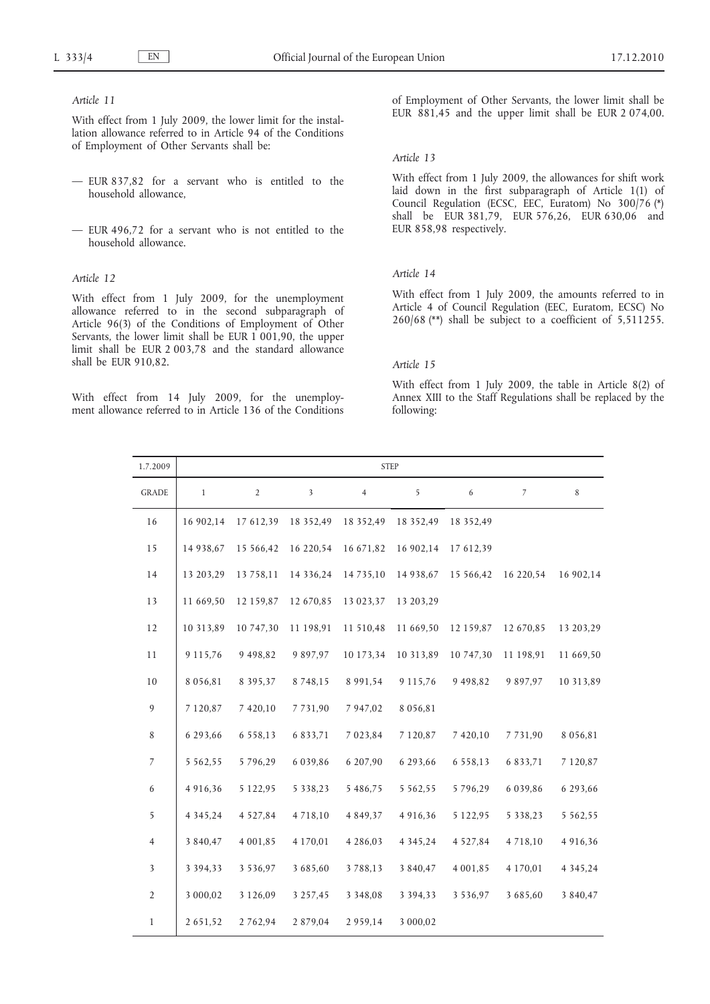# *Article 11*

With effect from 1 July 2009, the lower limit for the installation allowance referred to in Article 94 of the Conditions of Employment of Other Servants shall be:

- EUR 837,82 for a servant who is entitled to the household allowance,
- EUR 496,72 for a servant who is not entitled to the household allowance.

#### *Article 12*

With effect from 1 July 2009, for the unemployment allowance referred to in the second subparagraph of Article 96(3) of the Conditions of Employment of Other Servants, the lower limit shall be EUR  $1\overline{001,90}$ , the upper limit shall be EUR 2 003,78 and the standard allowance shall be EUR 910,82.

With effect from 14 July 2009, for the unemployment allowance referred to in Article 136 of the Conditions of Employment of Other Servants, the lower limit shall be EUR 881,45 and the upper limit shall be EUR 2 074,00.

#### *Article 13*

With effect from 1 July 2009, the allowances for shift work laid down in the first subparagraph of Article 1(1) of Council Regulation (ECSC, EEC, Euratom) No 300/76 (\*) shall be EUR 381,79, EUR 576,26, EUR 630,06 and EUR 858,98 respectively.

### *Article 14*

With effect from 1 July 2009, the amounts referred to in Article 4 of Council Regulation (EEC, Euratom, ECSC) No 260/68 (\*\*) shall be subject to a coefficient of 5,511255.

### *Article 15*

With effect from 1 July 2009, the table in Article 8(2) of Annex XIII to the Staff Regulations shall be replaced by the following:

| 1.7.2009                 | <b>STEP</b>   |                |               |                |               |               |               |               |
|--------------------------|---------------|----------------|---------------|----------------|---------------|---------------|---------------|---------------|
| <b>GRADE</b>             | $\mathbf{1}$  | $\overline{2}$ | 3             | $\overline{4}$ | 5             | 6             | 7             | 8             |
| 16                       | 16 902,14     | 17 612,39      | 18 352,49     | 18 352,49      | 18 352,49     | 18 352,49     |               |               |
| 15                       | 14 938,67     | 15 566,42      | 16 220,54     | 16 671,82      | 16 902,14     | 17 612,39     |               |               |
| 14                       | 13 203,29     | 13 758,11      | 14 336,24     | 14 7 3 5 , 10  | 14 938,67     | 15 566,42     | 16 220,54     | 16 902,14     |
| 13                       | 11 669,50     | 12 159,87      | 12 670,85     | 13 023,37      | 13 203,29     |               |               |               |
| 12                       | 10 313,89     | 10 747,30      | 11 198,91     | 11 510,48      | 11 669,50     | 12 159,87     | 12 670,85     | 13 203,29     |
| 11                       | 9 1 1 5 , 7 6 | 9 4 9 8 , 8 2  | 9 8 9 7 . 9 7 | 10 173,34      | 10 313,89     | 10 747,30     | 11 198,91     | 11 669,50     |
| 10                       | 8 0 5 6, 8 1  | 8 3 9 5 , 3 7  | 8 7 4 8 , 1 5 | 8 9 9 1 , 5 4  | 9 115,76      | 9 4 9 8 , 8 2 | 9 8 9 7 , 9 7 | 10 313,89     |
| 9                        | 7 1 2 0, 8 7  | 7 420,10       | 7 7 3 1,90    | 7 947,02       | 8 0 5 6, 8 1  |               |               |               |
| 8                        | 6 293,66      | 6 5 5 8 1 3    | 6 8 3 3 , 7 1 | 7 0 2 3 , 8 4  | 7 1 2 0, 8 7  | 7 420,10      | 7731,90       | 8 0 5 6, 8 1  |
| $\overline{\mathcal{I}}$ | 5 5 6 2 , 5 5 | 5796,29        | 6 0 3 9, 8 6  | 6 207,90       | 6 293,66      | 6 5 5 8 , 1 3 | 6 8 3 3 , 7 1 | 7 1 2 0, 8 7  |
| 6                        | 4 9 1 6, 3 6  | 5 1 2 2 , 9 5  | 5 3 3 8 , 2 3 | 5 486,75       | 5 5 6 2 , 5 5 | 5796,29       | 6 0 3 9 , 8 6 | 6 293,66      |
| 5                        | 4 3 4 5 , 2 4 | 4 5 2 7 , 8 4  | 4718,10       | 4 8 4 9 , 3 7  | 4 9 1 6, 3 6  | 5 1 2 2 . 9 5 | 5 3 3 8 , 2 3 | 5 5 6 2 , 5 5 |
| $\overline{4}$           | 3 840,47      | 4 001,85       | 4 170,01      | 4 2 8 6 , 0 3  | 4 3 4 5 , 2 4 | 4 5 2 7 , 8 4 | 4 7 1 8 , 1 0 | 4 9 1 6, 3 6  |
| $\mathfrak{Z}$           | 3 3 9 4 , 3 3 | 3 5 3 6, 9 7   | 3 685,60      | 3788,13        | 3 8 4 0, 4 7  | 4 0 0 1,85    | 4 170,01      | 4 3 4 5 , 2 4 |
| $\overline{2}$           | 3 000,02      | 3 1 2 6 , 0 9  | 3 2 5 7 , 4 5 | 3 3 4 8 , 0 8  | 3 3 9 4 , 3 3 | 3 5 3 6, 9 7  | 3 685,60      | 3 8 4 0 , 4 7 |
| $\mathbf{1}$             | 2 6 5 1 , 5 2 | 2 7 6 2 9 4    | 2 879,04      | 2959,14        | 3 000,02      |               |               |               |